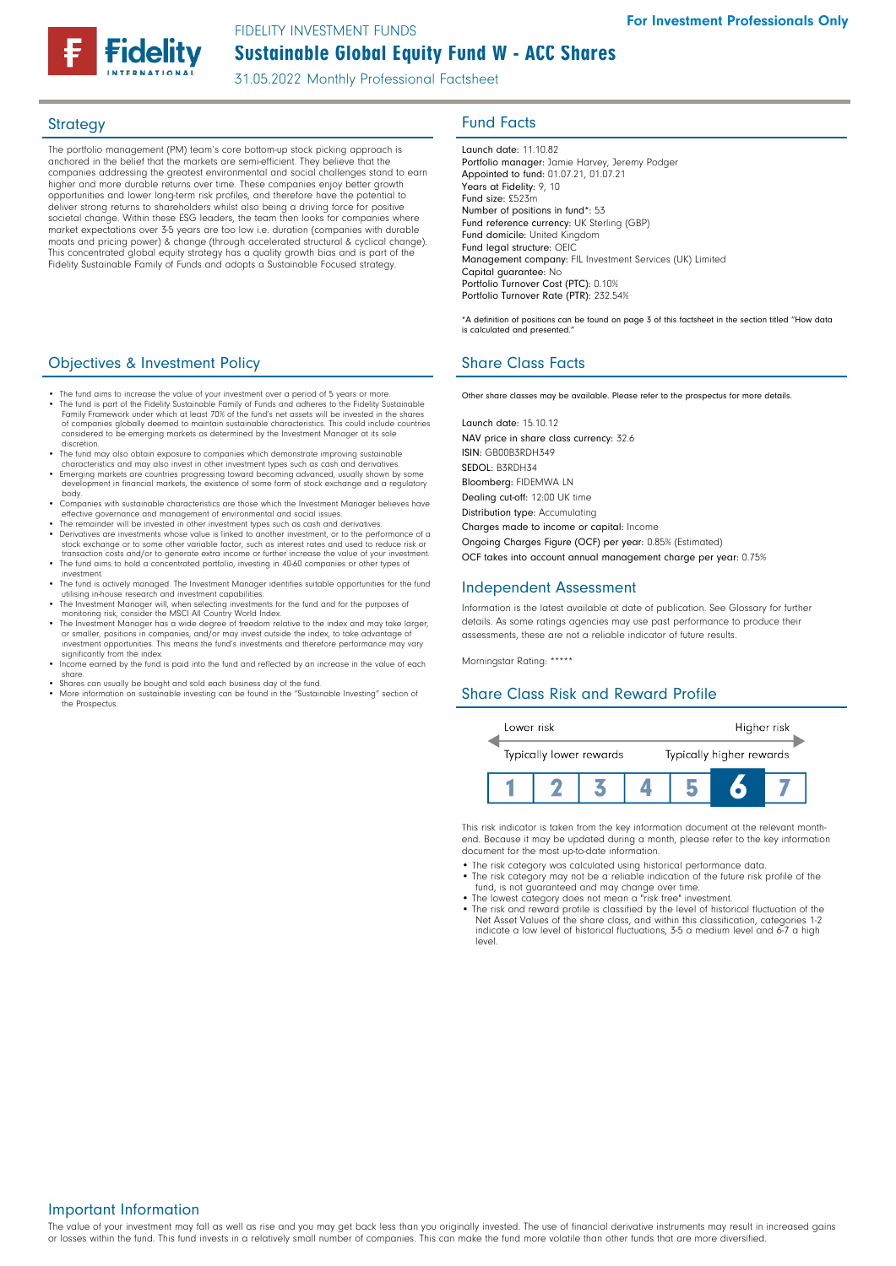## Sustainable Global Equity Fund W - ACC Shares FIDELITY INVESTMENT FUNDS

31.05.2022 Monthly Professional Factsheet

The portfolio management (PM) team's core bottom-up stock picking approach is anchored in the belief that the markets are semi-efficient. They believe that the companies addressing the greatest environmental and social challenges stand to earn higher and more durable returns over time. These companies enjoy better growth opportunities and lower long-term risk profiles, and therefore have the potential to deliver strong returns to shareholders whilst also being a driving force for positive societal change. Within these ESG leaders, the team then looks for companies where market expectations over 3-5 years are too low i.e. duration (companies with durable moats and pricing power) & change (through accelerated structural & cyclical change). This concentrated global equity strategy has a quality growth bias and is part of the Fidelity Sustainable Family of Funds and adopts a Sustainable Focused strategy.

## **Objectives & Investment Policy Share Class Facts** Share Class Facts

- The fund aims to increase the value of your investment over a period of 5 years or more
- The fund is part of the Fidelity Sustainable Family of Funds and adheres to the Fidelity Sustainable Family Framework under which at least 70% of the fund's net assets will be invested in the shares of companies globally deemed to maintain sustainable characteristics. This could include countries considered to be emerging markets as determined by the Investment Manager at its sole discretion.
- The fund may also obtain exposure to companies which demonstrate improving sustainable
- characteristics and may also invest in other investment types such as cash and derivatives. Emerging markets are countries progressing toward becoming advanced, usually shown by some development in financial markets, the existence of some form of stock exchange and a regulatory body.
- Companies with sustainable characteristics are those which the Investment Manager believes have effective governance and management of environmental and social issues. • The remainder will be invested in other investment types such as cash and derivatives.
- The remainder will be invested in once investment types seen as seen in another investment, or to the performance of a stock exchange or to some other variable factor, such as interest rates and used to reduce risk or
- transaction costs and/or to generate extra income or further increase the value of your investment. • The fund aims to hold a concentrated portfolio, investing in 40-60 companies or other types of investment.
- The fund is actively managed. The Investment Manager identifies suitable opportunities for the fund<br>utilising in-house research and investment capabilities.<br>• The Investment Manager will, when selecting investments for
- monitoring risk, consider the MSCI All Country World Index.
- The Investment Manager has a wide degree of freedom relative to the index and may take larger, or smaller, positions in companies, and/or may invest outside the index, to take advantage of investment opportunities. This means the fund's investments and therefore performance may vary significantly from the index.
- Income earned by the fund is paid into the fund and reflected by an increase in the value of each share.
- Shares can usually be bought and sold each business day of the fund.
- More information on sustainable investing can be found in the "Sustainable Investing" section of the Prospectus.

## Strategy **Fund Facts**

Launch date: 11.10.82 Portfolio manager: Jamie Harvey, Jeremy Podger Appointed to fund: 01.07.21, 01.07.21 Years at Fidelity: 9, 10 Fund size: £523m Number of positions in fund\*: 53 Fund reference currency: UK Sterling (GBP) Fund domicile: United Kingdom Fund legal structure: OEIC Management company: FIL Investment Services (UK) Limited Capital guarantee: No Portfolio Turnover Cost (PTC): 0.10% Portfolio Turnover Rate (PTR): 232.54%

\*A definition of positions can be found on page 3 of this factsheet in the section titled "How data is calculated and presented."

Other share classes may be available. Please refer to the prospectus for more details.

Launch date: 15.10.12 NAV price in share class currency: 32.6 ISIN: GB00B3RDH349 SEDOL: B3RDH34 Bloomberg: FIDEMWA LN Dealing cut-off: 12:00 UK time Distribution type: Accumulating Charges made to income or capital: Income Ongoing Charges Figure (OCF) per year: 0.85% (Estimated)

OCF takes into account annual management charge per year: 0.75%

### Independent Assessment

Information is the latest available at date of publication. See Glossary for further details. As some ratings agencies may use past performance to produce their assessments, these are not a reliable indicator of future results.

Morningstar Rating: \*\*\*\*\*

## Share Class Risk and Reward Profile



This risk indicator is taken from the key information document at the relevant monthend. Because it may be updated during a month, please refer to the key information document for the most up-to-date information.

- The risk category was calculated using historical performance data.
- The risk category may not be a reliable indication of the future risk profile of the fund, is not guaranteed and may change over time.
- The lowest category does not mean a "risk free" investment. The risk and reward profile is classified by the level of historical fluctuation of the
- Net Asset Values of the share class, and within this classification, categories 1-2 indicate a low level of historical fluctuations, 3-5 a medium level and 6-7 a high level.

### Important Information

The value of your investment may fall as well as rise and you may get back less than you originally invested. The use of financial derivative instruments may result in increased gains or losses within the fund. This fund invests in a relatively small number of companies. This can make the fund more volatile than other funds that are more diversified.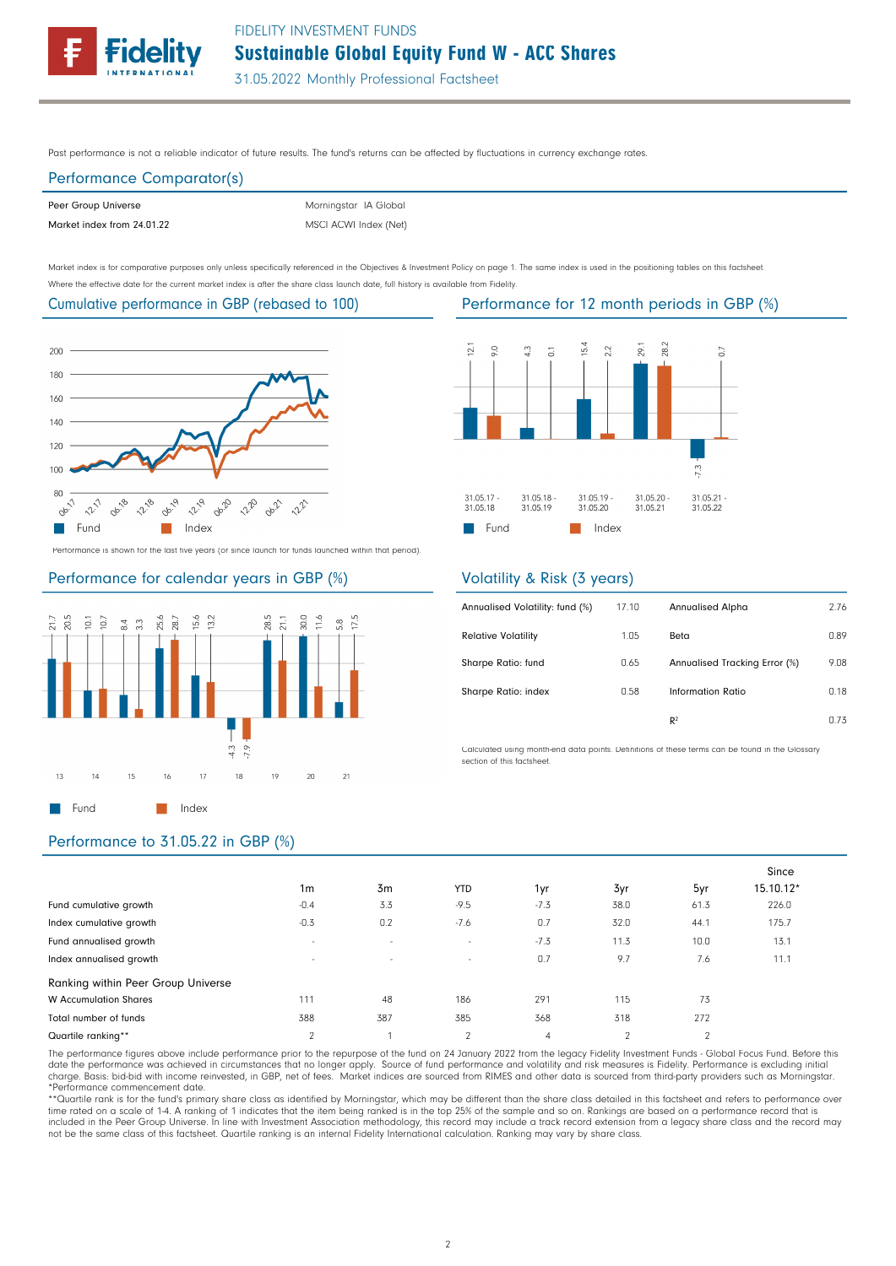

Past performance is not a reliable indicator of future results. The fund's returns can be affected by fluctuations in currency exchange rates.

# Performance Comparator(s)

| Peer Group Universe        | Morningstar IA Global |
|----------------------------|-----------------------|
| Market index from 24.01.22 | MSCI ACWI Index (Net) |

Morningstar IA Global

Market index is for comparative purposes only unless specifically referenced in the Objectives & Investment Policy on page 1. The same index is used in the positioning tables on this factsheet. Where the effective date for the current market index is after the share class launch date, full history is available from Fidelity.

## Cumulative performance in GBP (rebased to 100)



Performance is shown for the last five years (or since launch for funds launched within that period).

#### Performance for calendar years in GBP (%)





### Volatility & Risk (3 years)

| Annualised Volatility: fund (%) | 17.10 | <b>Annualised Alpha</b>       | 2.76 |
|---------------------------------|-------|-------------------------------|------|
| <b>Relative Volatility</b>      | 1.05  | Beta                          | 0.89 |
| Sharpe Ratio: fund              | 0.65  | Annualised Tracking Error (%) | 9.08 |
| Sharpe Ratio: index             | 0.58  | Information Ratio             | 0.18 |
|                                 |       | R <sup>2</sup>                | 0.73 |

Calculated using month-end data points. Definitions of these terms can be found in the Glossary section of this factsheet.

### Performance to 31.05.22 in GBP (%)

|                                    |                          |        |            |        |          |          | Since     |
|------------------------------------|--------------------------|--------|------------|--------|----------|----------|-----------|
|                                    | 1 <sub>m</sub>           | 3m     | <b>YTD</b> | 1yr    | 3yr      | 5yr      | 15.10.12* |
| Fund cumulative growth             | $-0.4$                   | 3.3    | $-9.5$     | $-7.3$ | 38.0     | 61.3     | 226.0     |
| Index cumulative growth            | $-0.3$                   | 0.2    | $-7.6$     | 0.7    | 32.0     | 44.1     | 175.7     |
| Fund annualised growth             | $\overline{\phantom{a}}$ | $\sim$ | $\sim$     | $-7.3$ | 11.3     | 10.0     | 13.1      |
| Index annualised growth            | $\overline{\phantom{a}}$ | $\sim$ | $\sim$     | 0.7    | 9.7      | 7.6      | 11.1      |
| Ranking within Peer Group Universe |                          |        |            |        |          |          |           |
| <b>W</b> Accumulation Shares       | 111                      | 48     | 186        | 291    | 115      | 73       |           |
| Total number of funds              | 388                      | 387    | 385        | 368    | 318      | 272      |           |
| Quartile ranking**                 | $\sim$                   |        | $\sim$     | 4      | $\Omega$ | $\Omega$ |           |

The performance figures above include performance prior to the repurpose of the fund on 24 January 2022 from the legacy Fidelity Investment Funds - Global Focus Fund. Before this date the performance was achieved in circumstances that no longer apply. Source of fund performance and volatility and risk measures is Fidelity. Performance is excluding initial<br>charge. Basis: bid-bid with income reinvest \*Performance commencement date.

\*\*Quartile rank is for the fund's primary share class as identified by Morningstar, which may be different than the share class detailed in this factsheet and refers to performance over<br>time rated on a scale of 1-4. A rank not be the same class of this factsheet. Quartile ranking is an internal Fidelity International calculation. Ranking may vary by share class.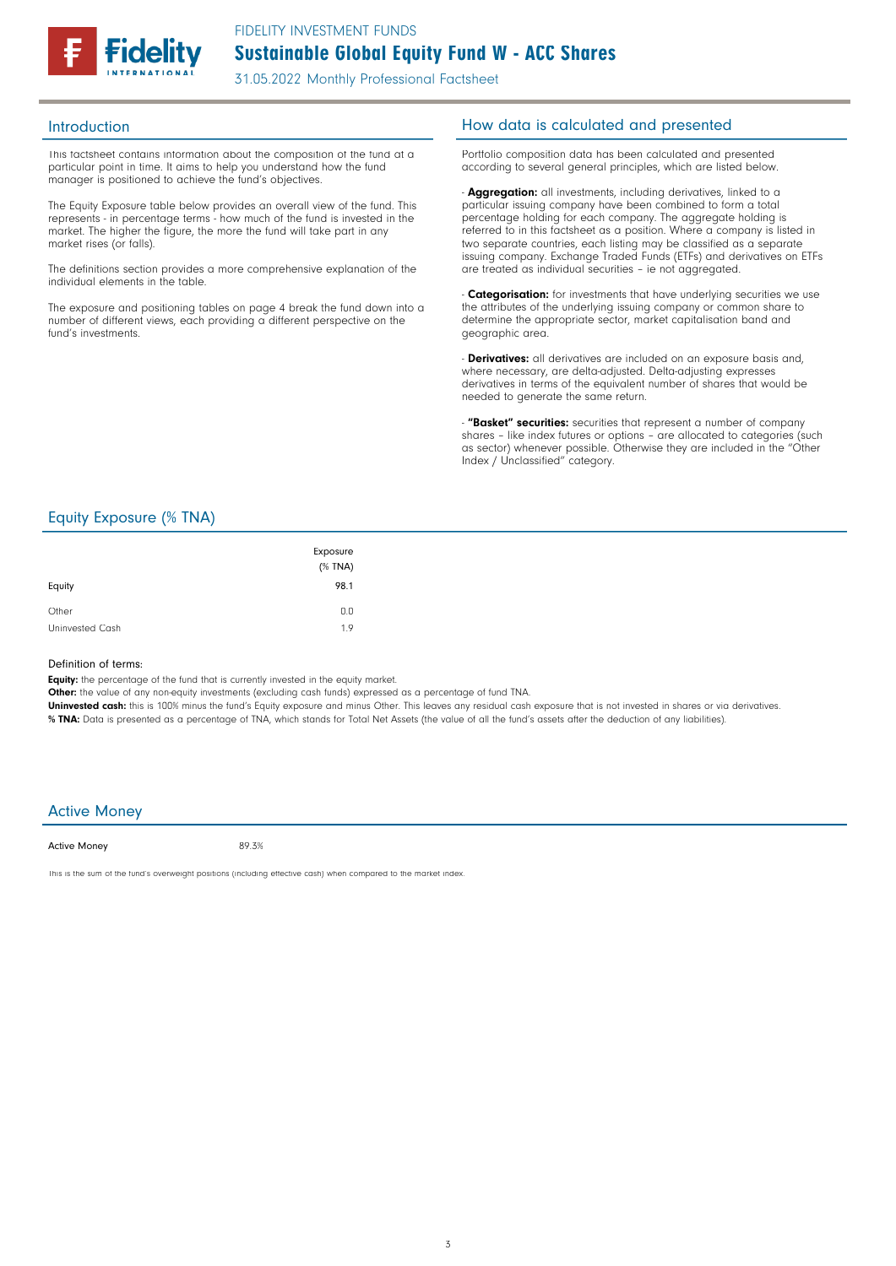

This factsheet contains information about the composition of the fund at a particular point in time. It aims to help you understand how the fund manager is positioned to achieve the fund's objectives.

The Equity Exposure table below provides an overall view of the fund. This represents - in percentage terms - how much of the fund is invested in the market. The higher the figure, the more the fund will take part in any market rises (or falls).

The definitions section provides a more comprehensive explanation of the individual elements in the table.

The exposure and positioning tables on page 4 break the fund down into a number of different views, each providing a different perspective on the fund's investments.

### Introduction **Introduction How data is calculated and presented**

Portfolio composition data has been calculated and presented according to several general principles, which are listed below.

- **Aggregation:** all investments, including derivatives, linked to a particular issuing company have been combined to form a total percentage holding for each company. The aggregate holding is referred to in this factsheet as a position. Where a company is listed in two separate countries, each listing may be classified as a separate issuing company. Exchange Traded Funds (ETFs) and derivatives on ETFs are treated as individual securities – ie not aggregated.

**Categorisation:** for investments that have underlying securities we use the attributes of the underlying issuing company or common share to determine the appropriate sector, market capitalisation band and geographic area.

- **Derivatives:** all derivatives are included on an exposure basis and, where necessary, are delta-adjusted. Delta-adjusting expresses derivatives in terms of the equivalent number of shares that would be needed to generate the same return.

"Basket" securities: securities that represent a number of company shares - like index futures or options - are allocated to categories (such as sector) whenever possible. Otherwise they are included in the "Other Index / Unclassified" category.

### Equity Exposure (% TNA)

| Equity          | Exposure<br>$(%$ (% TNA)<br>98.1 |
|-----------------|----------------------------------|
| Other           | 0.0                              |
| Uninvested Cash | 1.9                              |

#### Definition of terms:

Equity: the percentage of the fund that is currently invested in the equity market.

Other: the value of any non-equity investments (excluding cash funds) expressed as a percentage of fund TNA.

Uninvested cash: this is 100% minus the fund's Equity exposure and minus Other. This leaves any residual cash exposure that is not invested in shares or via derivatives. % TNA: Data is presented as a percentage of TNA, which stands for Total Net Assets (the value of all the fund's assets after the deduction of any liabilities).

#### Active Money

Active Money

89.3%

This is the sum of the fund's overweight positions (including effective cash) when compared to the market index.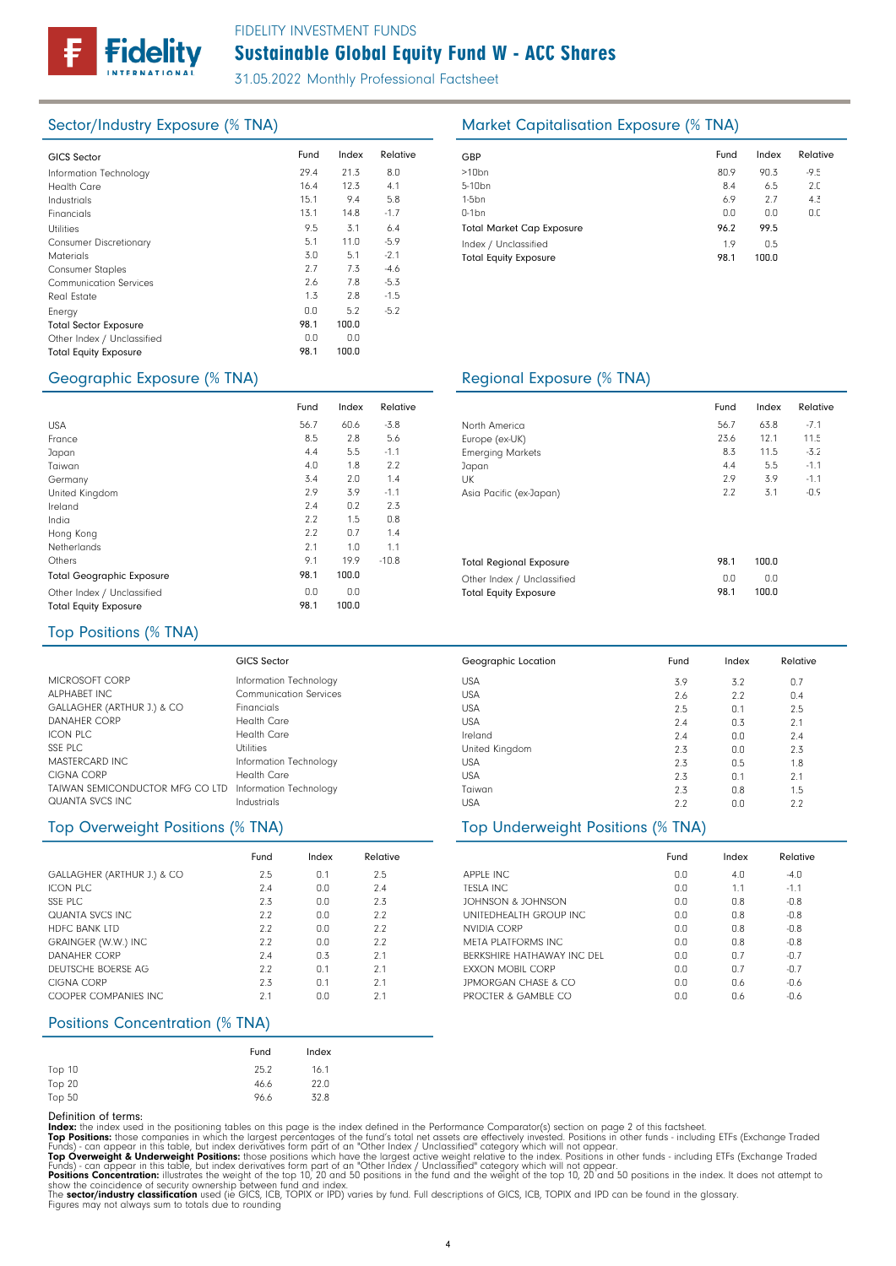

# Sustainable Global Equity Fund W - ACC Shares FIDELITY INVESTMENT FUNDS

31.05.2022 Monthly Professional Factsheet

| <b>GICS Sector</b>            | Fund | Index | Relative | GBP              |
|-------------------------------|------|-------|----------|------------------|
|                               |      |       |          |                  |
| Information Technology        | 29.4 | 21.3  | 8.0      | >10 <sub>k</sub> |
| <b>Health Care</b>            | 16.4 | 12.3  | 4.1      | $5 - 10$         |
| Industrials                   | 15.1 | 9.4   | 5.8      | $1-5b$           |
| Financials                    | 13.1 | 14.8  | $-1.7$   | $0-1b$           |
| <b>Utilities</b>              | 9.5  | 3.1   | 6.4      | Tota             |
| <b>Consumer Discretionary</b> | 5.1  | 11.0  | $-5.9$   | Inde             |
| <b>Materials</b>              | 3.0  | 5.1   | $-2.1$   | Tota             |
| <b>Consumer Staples</b>       | 2.7  | 7.3   | $-4.6$   |                  |
| <b>Communication Services</b> | 2.6  | 7.8   | $-5.3$   |                  |
| Real Estate                   | 1.3  | 2.8   | $-1.5$   |                  |
| Energy                        | 0.0  | 5.2   | $-5.2$   |                  |
| <b>Total Sector Exposure</b>  | 98.1 | 100.0 |          |                  |
| Other Index / Unclassified    | 0.0  | 0.0   |          |                  |
| <b>Total Equity Exposure</b>  | 98.1 | 100.0 |          |                  |
|                               |      |       |          |                  |

Fund

98.1 0.0 98.1

## Sector/Industry Exposure (% TNA) Market Capitalisation Exposure (% TNA)

| Fund | Index | Relative |
|------|-------|----------|
| 80.9 | 90.3  | $-9.5$   |
| 8.4  | 6.5   | 2.0      |
| 6.9  | 2.7   | 4.3      |
| 0.0  | 0.0   | 0.0      |
| 96.2 | 99.5  |          |
| 1.9  | 0.5   |          |
| 98.1 | 100.0 |          |
|      |       |          |

### Geographic Exposure (% TNA) Regional Exposure (% TNA)

| und  | Index | Relative |                                | Fund | Index | Relat  |
|------|-------|----------|--------------------------------|------|-------|--------|
| 56.7 | 60.6  | $-3.8$   | North America                  | 56.7 | 63.8  | $-7.1$ |
| 8.5  | 2.8   | 5.6      | Europe (ex-UK)                 | 23.6 | 12.1  | 11.5   |
| 4.4  | 5.5   | $-1.1$   | <b>Emerging Markets</b>        | 8.3  | 11.5  | $-3.2$ |
| 4.0  | 1.8   | 2.2      | Japan                          | 4.4  | 5.5   | $-1.1$ |
| 3.4  | 2.0   | 1.4      | UK                             | 2.9  | 3.9   | $-1.1$ |
| 2.9  | 3.9   | $-1.1$   | Asia Pacific (ex-Japan)        | 2.2  | 3.1   | $-0.9$ |
| 2.4  | 0.2   | 2.3      |                                |      |       |        |
| 2.2  | 1.5   | 0.8      |                                |      |       |        |
| 2.2  | 0.7   | 1.4      |                                |      |       |        |
| 2.1  | 1.0   | 1.1      |                                |      |       |        |
| 9.1  | 19.9  | $-10.8$  | <b>Total Regional Exposure</b> | 98.1 | 100.0 |        |
| 98.1 | 100.0 |          | Other Index / Unclassified     | 0.0  | 0.0   |        |
| 0.0  | 0.0   |          | <b>Total Equity Exposure</b>   | 98.1 | 100.0 |        |
| 981  | 1በበ በ |          |                                |      |       |        |

USA USA USA USA Ireland United Kingdom USA USA Taiwan USA

Geographic Location

## Top Positions (% TNA)

Total Geographic Exposure Other Index / Unclassified Total Equity Exposure

USA France Japan Taiwan Germany United Kingdom Ireland India Hong Kong Netherlands

Others

| <b>GICS Sector</b>                                                    |
|-----------------------------------------------------------------------|
| Information Technology                                                |
| <b>Communication Services</b>                                         |
| Financials                                                            |
| Health Care                                                           |
| Health Care                                                           |
| Utilities                                                             |
| Information Technology                                                |
| Health Care                                                           |
| TAIWAN SEMICONDUCTOR MFG CO LTD Information Technology<br>Industrials |
|                                                                       |

|                            | Fund | Index | Relative |
|----------------------------|------|-------|----------|
| GALLAGHER (ARTHUR J.) & CO | 2.5  | 0.1   | 2.5      |
| ICON PLC                   | 7.4  | 0.0   | 7.4      |
| SSE PLC                    | 2.3  | 0.0   | 2.3      |
| <b>QUANTA SVCS INC.</b>    | 2.2  | 0.0   | 2.2      |
| <b>HDFC BANK LTD</b>       | 2.2  | 0.0   | 2.2      |
| GRAINGER (W.W.) INC        | 2.2  | 0.0   | 2.2      |
| DANAHER CORP               | 7.4  | 0.3   | 2.1      |
| DEUTSCHE BOERSF AG         | 2.2  | 0.1   | 2.1      |
| CIGNA CORP                 | 2.3  | 0.1   | 21       |
| COOPER COMPANIES INC.      | 2.1  | 0.0   | 2.1      |

### Positions Concentration (% TNA)

|        | Fund | Index |
|--------|------|-------|
| Top 10 | 25.2 | 16.1  |
| Top 20 | 46.6 | 22.0  |
| Top 50 | 96.6 | 32.8  |

Definition of terms:<br>
Top Positions: these din the positioning tables on this page is the index defined in the Performance Comparator(s) section on page 2 of this factsheet.<br>
ITOP Positions: those companies in which the la

# Top Overweight Positions (% TNA) Top Underweight Positions (% TNA)

|                                | Fund | Index | Relative |
|--------------------------------|------|-------|----------|
| <b>APPLE INC.</b>              | 0.0  | 4.0   | $-4.0$   |
| <b>TESLA INC</b>               | 0.0  | 11    | $-1.1$   |
| JOHNSON & JOHNSON              | 0.0  | 0.8   | $-0.8$   |
| UNITEDHEALTH GROUP INC.        | 0.0  | 0.8   | $-0.8$   |
| NVIDIA CORP                    | 0.0  | 0.8   | $-0.8$   |
| <b>MFTA PLATFORMS INC.</b>     | 0.0  | 0.8   | $-0.8$   |
| BERKSHIRE HATHAWAY INC DEL     | 0.0  | 0.7   | $-0.7$   |
| <b>FXXON MOBIL CORP</b>        | 0.0  | 0.7   | $-0.7$   |
| <b>JPMORGAN CHASE &amp; CO</b> | 0.0  | 0.6   | $-0.6$   |
| PROCTER & GAMBLE CO            | n n  | 0.6   | -0.6     |

3.2 2.2 0.1 0.3 0.0 0.0 0.5 0.1 0.8  $0.0$ 

3.9 2.6 2.5 2.4 2.4  $2.3$ 2.3 2.3 2.3 2.2

Fund Index Relative

0.7 0.4 2.5 2.1 2.4  $2.3$ 1.8 2.1 1.5  $2.2$ 

Relative

11.5 -3.2 -1.1 -1.1 -0.9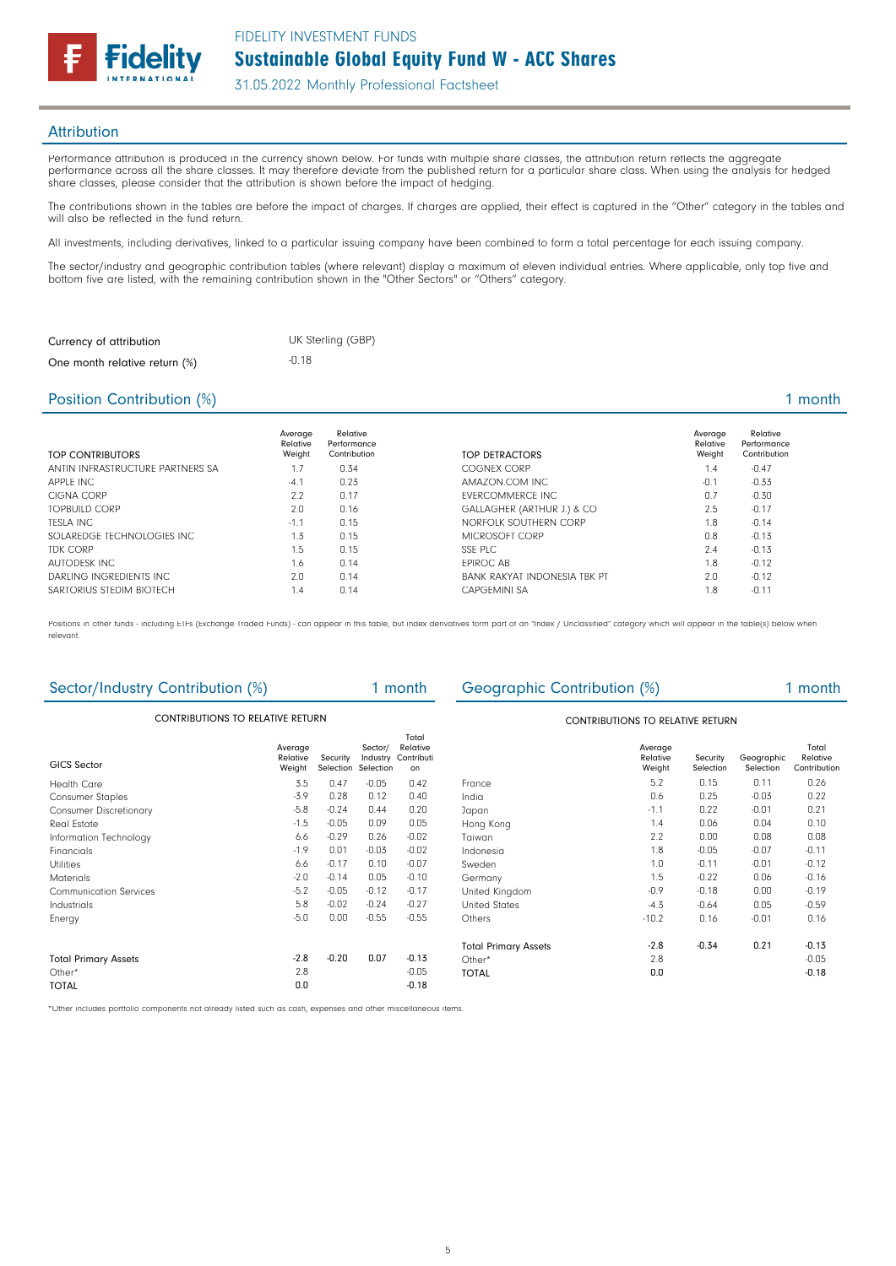

**Attribution** 

Performance attribution is produced in the currency shown below. For funds with multiple share classes, the attribution return reflects the aggregate performance across all the share classes. It may therefore deviate from the published return for a particular share class. When using the analysis for hedged share classes, please consider that the attribution is shown before the impact of hedging.

The contributions shown in the tables are before the impact of charges. If charges are applied, their effect is captured in the "Other" category in the tables and will also be reflected in the fund return.

All investments, including derivatives, linked to a particular issuing company have been combined to form a total percentage for each issuing company.

The sector/industry and geographic contribution tables (where relevant) display a maximum of eleven individual entries. Where applicable, only top five and bottom five are listed, with the remaining contribution shown in the "Other Sectors" or "Others" category.

| Currency of attribution       | UK Sterling (GBP) |
|-------------------------------|-------------------|
| One month relative return (%) | -0.18             |

### Position Contribution (%) 2 and 2 and 2 and 2 and 2 and 2 and 2 and 2 and 2 and 2 and 2 and 2 and 2 and 2 and 2 and 2 and 2 and 2 and 2 and 2 and 2 and 2 and 2 and 2 and 2 and 2 and 2 and 2 and 2 and 2 and 2 and 2 and 2 an

| <b>TOP CONTRIBUTORS</b>          | Average<br>Relative<br>Weight | Relative<br>Performance<br>Contribution | TOP DETRACTORS               | Average<br>Relative<br>Weight | Relative<br>Performance<br>Contribution |
|----------------------------------|-------------------------------|-----------------------------------------|------------------------------|-------------------------------|-----------------------------------------|
| ANTIN INFRASTRUCTURE PARTNERS SA | 1.7                           | 0.34                                    | COGNEX CORP                  | 1.4                           | $-0.47$                                 |
| APPLE INC                        | $-4.1$                        | 0.23                                    | AMAZON.COM INC               | $-0.1$                        | $-0.33$                                 |
| CIGNA CORP                       | 2.2                           | 0.17                                    | <b>FVERCOMMERCE INC.</b>     | 0.7                           | $-0.30$                                 |
| <b>TOPBUILD CORP</b>             | 2.0                           | 0.16                                    | GALLAGHER (ARTHUR J.) & CO   | 2.5                           | $-0.17$                                 |
| TFSLA INC                        | $-1.1$                        | 0.15                                    | NORFOLK SOUTHERN CORP        | 1.8                           | $-0.14$                                 |
| SOLAREDGE TECHNOLOGIES INC.      | 1.3                           | 0.15                                    | MICROSOFT CORP               | 0.8                           | $-0.13$                                 |
| <b>TDK CORP</b>                  | 1.5                           | 0.15                                    | SSE PLC                      | 2.4                           | $-0.13$                                 |
| AUTODESK INC                     | 1.6                           | 0.14                                    | <b>EPIROC AB</b>             | 1.8                           | $-0.12$                                 |
| DARLING INGREDIENTS INC          | 2.0                           | 0.14                                    | BANK RAKYAT INDONESIA TBK PT | 2.0                           | $-0.12$                                 |
| SARTORIUS STEDIM BIOTECH         | 1.4                           | 0.14                                    | CAPGFMINI SA                 | . .8                          | $-0.11$                                 |

Positions in other funds - including ETFs (Exchange Traded Funds) - can appear in this table, but index derivatives form part of an "Index / Unclassified" category which will appear in the table(s) below when relevant.

| Sector/Industry Contribution (%)        |                               |                       |                                  | 1 month                                 | Geographic Contribution (%) |                               |                       |                         | 1 month                           |
|-----------------------------------------|-------------------------------|-----------------------|----------------------------------|-----------------------------------------|-----------------------------|-------------------------------|-----------------------|-------------------------|-----------------------------------|
| <b>CONTRIBUTIONS TO RELATIVE RETURN</b> |                               |                       |                                  | <b>CONTRIBUTIONS TO RELATIVE RETURN</b> |                             |                               |                       |                         |                                   |
| GICS Sector                             | Average<br>Relative<br>Weight | Security<br>Selection | Sector/<br>Industry<br>Selection | Total<br>Relative<br>Contributi<br>on   |                             | Average<br>Relative<br>Weight | Security<br>Selection | Geographic<br>Selection | Total<br>Relative<br>Contribution |
| <b>Health Care</b>                      | 3.5                           | 0.47                  | $-0.05$                          | 0.42                                    | France                      | 5.2                           | 0.15                  | 0.11                    | 0.26                              |
| <b>Consumer Staples</b>                 | $-3.9$                        | 0.28                  | 0.12                             | 0.40                                    | India                       | 0.6                           | 0.25                  | $-0.03$                 | 0.22                              |
| <b>Consumer Discretionary</b>           | $-5.8$                        | $-0.24$               | 0.44                             | 0.20                                    | Japan                       | $-1.1$                        | 0.22                  | $-0.01$                 | 0.21                              |
| Real Estate                             | $-1.5$                        | $-0.05$               | 0.09                             | 0.05                                    | Hong Kong                   | 1.4                           | 0.06                  | 0.04                    | 0.10                              |
| Information Technology                  | 6.6                           | $-0.29$               | 0.26                             | $-0.02$                                 | Taiwan                      | 2.2                           | 0.00                  | 0.08                    | 0.08                              |
| Financials                              | $-1.9$                        | 0.01                  | $-0.03$                          | $-0.02$                                 | Indonesia                   | 1.8                           | $-0.05$               | $-0.07$                 | $-0.11$                           |
| <b>Utilities</b>                        | 6.6                           | $-0.17$               | 0.10                             | $-0.07$                                 | Sweden                      | 1.0                           | $-0.11$               | $-0.01$                 | $-0.12$                           |
| <b>Materials</b>                        | $-2.0$                        | $-0.14$               | 0.05                             | $-0.10$                                 | Germany                     | 1.5                           | $-0.22$               | 0.06                    | $-0.16$                           |
| <b>Communication Services</b>           | $-5.2$                        | $-0.05$               | $-0.12$                          | $-0.17$                                 | United Kingdom              | $-0.9$                        | $-0.18$               | 0.00                    | $-0.19$                           |
| Industrials                             | 5.8                           | $-0.02$               | $-0.24$                          | $-0.27$                                 | <b>United States</b>        | $-4.3$                        | $-0.64$               | 0.05                    | $-0.59$                           |
| Energy                                  | $-5.0$                        | 0.00                  | $-0.55$                          | $-0.55$                                 | Others                      | $-10.2$                       | 0.16                  | $-0.01$                 | 0.16                              |
|                                         |                               |                       |                                  |                                         | <b>Total Primary Assets</b> | $-2.8$                        | $-0.34$               | 0.21                    | $-0.13$                           |
| <b>Total Primary Assets</b>             | $-2.8$                        | $-0.20$               | 0.07                             | $-0.13$                                 | Other*                      | 2.8                           |                       |                         | $-0.05$                           |
| Other*                                  | 2.8                           |                       |                                  | $-0.05$                                 | <b>TOTAL</b>                | 0.0                           |                       |                         | $-0.18$                           |
| <b>TOTAL</b>                            | 0.0                           |                       |                                  | $-0.18$                                 |                             |                               |                       |                         |                                   |

\*Other includes portfolio components not already listed such as cash, expenses and other miscellaneous items.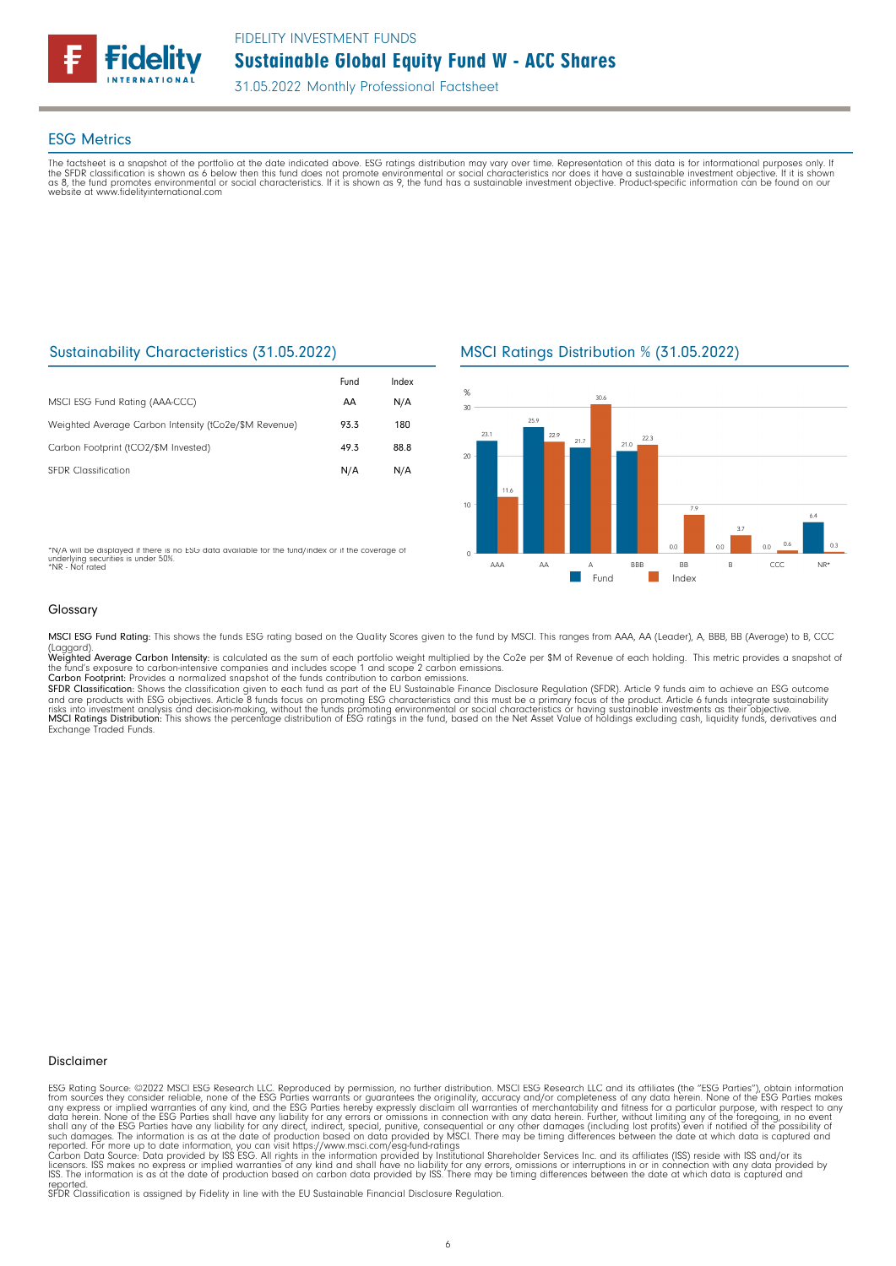

### ESG Metrics

The factsheet is a snapshot of the portfolio at the date indicated above. ESG ratings distribution may vary over time. Representation of this data is for informational purposes only. If<br>the SFDR classification is shown as website at www.fidelityinternational.com

## Sustainability Characteristics (31.05.2022)

|                                                       | Fund | Index |
|-------------------------------------------------------|------|-------|
| MSCI ESG Fund Rating (AAA-CCC)                        | AA   | N/A   |
| Weighted Average Carbon Intensity (tCo2e/\$M Revenue) | 93.3 | 180   |
| Carbon Footprint (tCO2/\$M Invested)                  | 49.3 | 88.8  |
| <b>SEDR</b> Classification                            | N/A  | N/A   |

MSCI Ratings Distribution % (31.05.2022)



\*N/A will be displayed if there is no ESG data available for the fund/index or if the coverage of underlying securities is under 50%. \*NR - Not rated

#### Glossary

MSCI ESG Fund Rating: This shows the funds ESG rating based on the Quality Scores given to the fund by MSCI. This ranges from AAA, AA (Leader), A, BBB, BB (Average) to B, CCC

(Laggard).<br>**Weighted Average Carbon Intensity**: is calculated as the sum of each portfolio weight multiplied by the Co2e per \$M of Revenue of each holding. This metric provides a snapshot o

the fund's exposure to carbon-intensive companies and includes scope 1 and scope 2 carbon emissions.<br>**Carbon Footprint**: Provides a normalized snapshot of the funds contribution to carbon emissions.<br>**SFDR Classification:** and are products with ESG objectives. Article 8 funds focus on promoting ESG characteristics and this must be a primary focus of the product. Article 6 funds integrate sustainability<br>risks into investment analysis and deci

#### Disclaimer

ESG Rating Source: ©2022 MSCI ESG Research LLC. Reproduced by permission, no further distribution. MSCI ESG Research LLC and its affiliates (the "ESG Parties"), obtain information<br>from sources they consider reliable, none

reported. SFDR Classification is assigned by Fidelity in line with the EU Sustainable Financial Disclosure Regulation.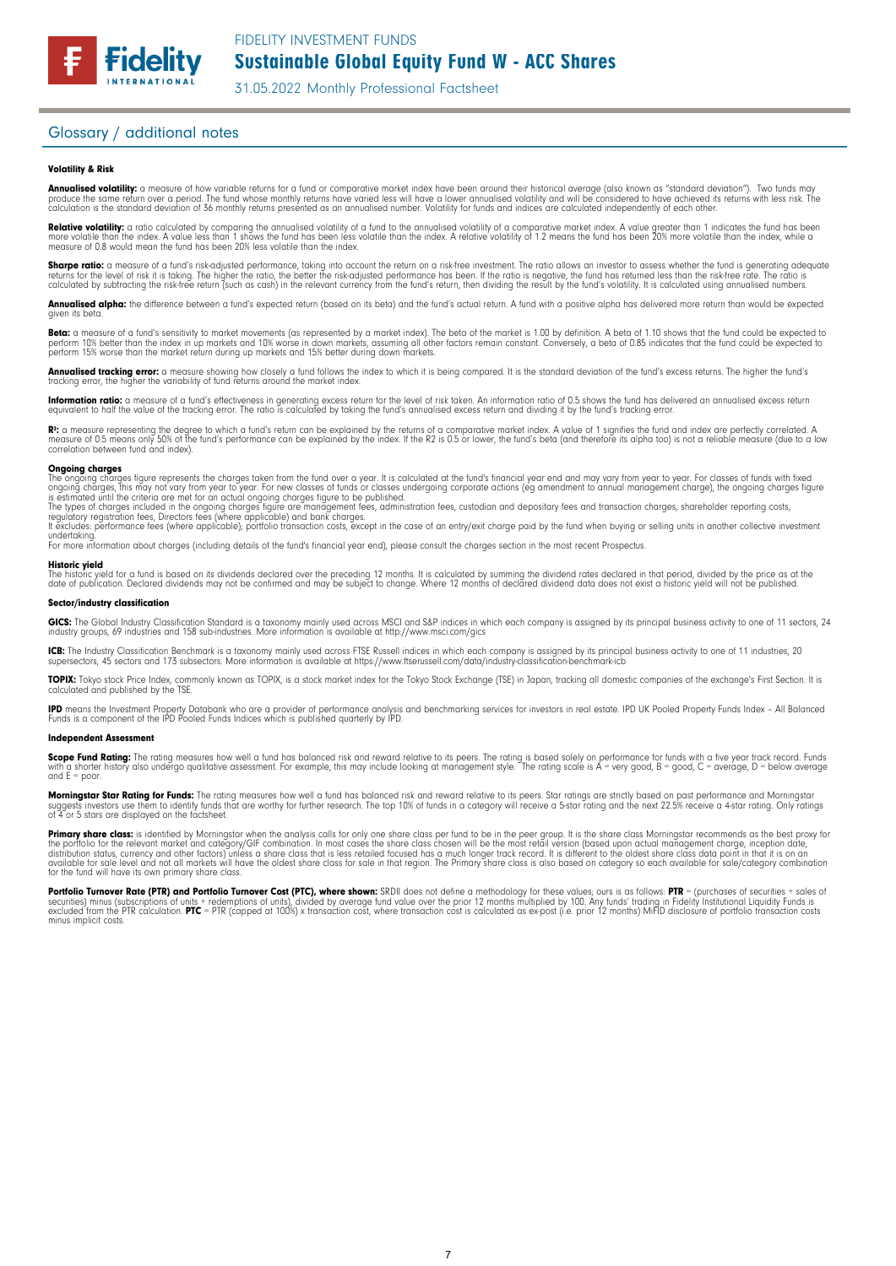#### Glossary / additional notes

#### Volatility & Risk

**Annualised volatility:** a measure of how variable returns for a fund or comparative market index have been around their historical average (also known as "standard deviation"). Two funds may<br>produce the same return over a calculation is the standard deviation of 36 monthly returns presented as an annualised number. Volatility for funds and indices are calculated independently of each other

**Relative volatility:** a ratio calculated by comparing the annualised volatility of a fund to the annualised volatility of a comparative market index. A value greater than 1 indicates the fund has been<br>more volatile than t measure of 0.8 would mean the fund has been 20% less volatile than the index.

**Sharpe ratio:** a measure of a fund's risk-adjusted performance, taking into account the return on a risk-free investment. The ratio allows an investor to assess whether the fund is generating adequate the tund is generati

Annualised alpha: the difference between a fund's expected return (based on its beta) and the fund's actual return. A fund with a positive alpha has delivered more return than would be expected given its beta

**Beta:** a measure of a fund's sensitivity to market movements (as represented by a market index). The beta of the market is 1.00 by definition. A beta of 1.10 shows that the fund could be expected to<br>perform 10% better tha perform 15% worse than the market return during up markets and 15% better during down markets.

**Annualised tracking error:** a measure showing how closely a tund tollows the index to which it is being compared. It is the standard deviation of the fund's excess returns. The higher the fund's<br>tracking error, the higher

**Information ratio:** a measure ot a tund's eftectiveness in generating excess return for the level of risk taken. An information ratio of U.5 shows the fund has delivered an annualised excess return<br>equivalent to half the

Rº: a measure representing the degree to which a fund's return can be explained by the returns of a comparative market index. A value of 1 signifies the fund and index are perfectly correlated. A<br>measure of 0.5 means only correlation between fund and index).

**Ongoing charges** figure represents the charges taken from the fund over a year. It is calculated at the fund's financial year end and may vary from year to year. For classes of funds with fixed ongoing charges figure repr

For more information about charges (including details of the fund's financial year end), please consult the charges section in the most recent Prospectus.

**Historic yield**<br>The historic yield for a fund is based on its dividends declared over the preceding 12 months. It is calculated by summing the dividend rates declared in that period, divided by the price as at the date of publication. Declared dividends may not be confirmed and may be subject to change. Where 12 months of declared dividend data does not exist a historic yield will not be published.

#### Sector/industry classification

GICS: The Global Industry Classification Standard is a taxonomy mainly used across MSCI and S&P indices in which each company is assigned by its principal business activity to one of 11 sectors, 24 industry groups, 69 industries and 158 sub-industries. More information is available at http://www.msci.com/gics

**ICB:** The Industry Classitication Benchmark is a taxonomy mainly used across FTSE Russell indices in which each company is assigned by its principal business activity to one of 11 industries, 20<br>supersectors, 45 sectors a

TOPIX: Tokyo stock Price Index, commonly known as TOPIX, is a stock market index for the Tokyo Stock Exchange (TSE) in Japan, tracking all domestic companies of the exchange's First Section. It is calculated and published by the TSE.

**IPD** means the Investment Property Databank who are a provider of performance analysis and benchmarking services for investors in real estate. IPD UK Pooled Property Funds Index - All Balanced<br>Funds is a component of the

#### Independent Assessment

**Scope Fund Rating:** The rating measures how well a fund has balanced risk and reward relative to its peers. The rating is based solely on performance for funds with a five year track record. Funds<br>with a shorter history a and  $E = poor$ 

**Morningstar Star Rating for Funds:** The rating measures how well a tund has balanced risk and reward relative to its peers. Star ratings are strictly based on past performance and Morningstar<br>suggests investors use them t suggests investors use them to identify turids to 4 or 5 stars are displayed on the factsheet.

**Primary share class:** is identified by Morningstar when the analysis calls for only one share class per fund to be in the peer group. It is the share class Morningstar recommends as the best proxy for the best proxy for c for the fund will have its own primary share class.

Portfolio Turnover Rate (PTR) and Portfolio Turnover Cost (PTC), where shown: SRDII does not define a methodology for these values; ours is as follows: PTR = (purchases of securities + sales of<br>securities) minus (subscript minus implicit costs.